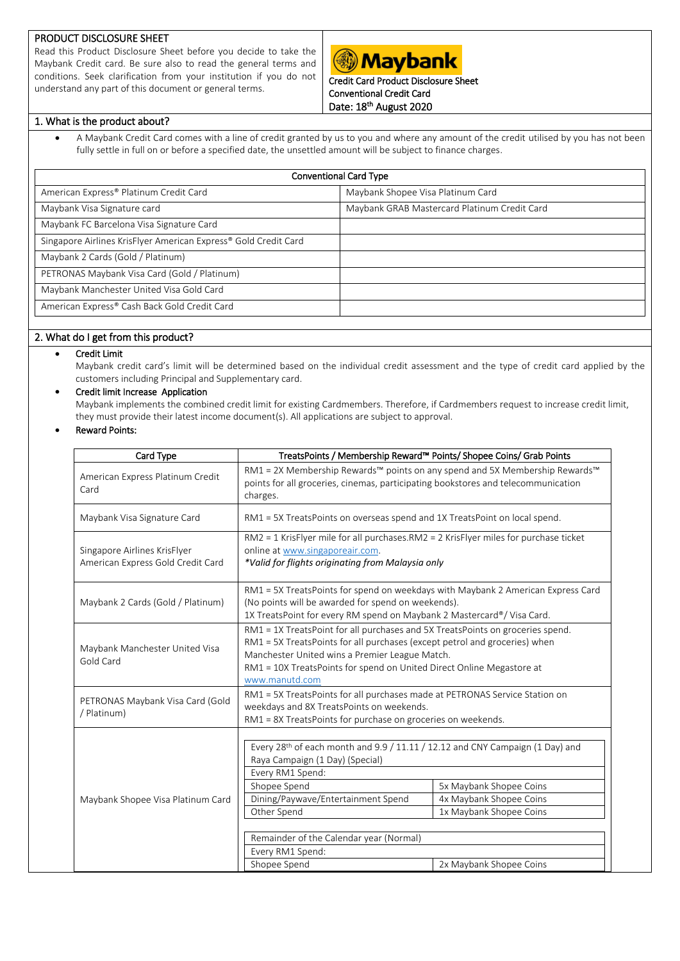## PRODUCT DISCLOSURE SHEET

Read this Product Disclosure Sheet before you decide to take the Maybank Credit card. Be sure also to read the general terms and conditions. Seek clarification from your institution if you do not understand any part of this document or general terms.

# **Maybank**

Credit Card Product Disclosure Sheet Conventional Credit Card Date: 18<sup>th</sup> August 2020

## 1. What is the product about?

 A Maybank Credit Card comes with a line of credit granted by us to you and where any amount of the credit utilised by you has not been fully settle in full on or before a specified date, the unsettled amount will be subject to finance charges.

| <b>Conventional Card Type</b>                                   |                                              |  |  |  |
|-----------------------------------------------------------------|----------------------------------------------|--|--|--|
| American Express® Platinum Credit Card                          | Maybank Shopee Visa Platinum Card            |  |  |  |
| Maybank Visa Signature card                                     | Maybank GRAB Mastercard Platinum Credit Card |  |  |  |
| Maybank FC Barcelona Visa Signature Card                        |                                              |  |  |  |
| Singapore Airlines KrisFlyer American Express® Gold Credit Card |                                              |  |  |  |
| Maybank 2 Cards (Gold / Platinum)                               |                                              |  |  |  |
| PETRONAS Maybank Visa Card (Gold / Platinum)                    |                                              |  |  |  |
| Maybank Manchester United Visa Gold Card                        |                                              |  |  |  |
| American Express® Cash Back Gold Credit Card                    |                                              |  |  |  |
|                                                                 |                                              |  |  |  |

# 2. What do I get from this product?

## • Credit Limit

Maybank credit card's limit will be determined based on the individual credit assessment and the type of credit card applied by the customers including Principal and Supplementary card.

## Credit limit Increase Application

Maybank implements the combined credit limit for existing Cardmembers. Therefore, if Cardmembers request to increase credit limit, they must provide their latest income document(s). All applications are subject to approval.

# Reward Points:

| Card Type<br>TreatsPoints / Membership Reward™ Points/ Shopee Coins/ Grab Points |                                                                                                                                                                                                                                                                                                                                                                       |                         |  |  |
|----------------------------------------------------------------------------------|-----------------------------------------------------------------------------------------------------------------------------------------------------------------------------------------------------------------------------------------------------------------------------------------------------------------------------------------------------------------------|-------------------------|--|--|
| American Express Platinum Credit<br>Card                                         | RM1 = 2X Membership Rewards™ points on any spend and 5X Membership Rewards™<br>points for all groceries, cinemas, participating bookstores and telecommunication<br>charges.                                                                                                                                                                                          |                         |  |  |
| Maybank Visa Signature Card                                                      | RM1 = 5X TreatsPoints on overseas spend and 1X TreatsPoint on local spend.                                                                                                                                                                                                                                                                                            |                         |  |  |
| Singapore Airlines KrisFlyer<br>American Express Gold Credit Card                | RM2 = 1 KrisFlyer mile for all purchases.RM2 = 2 KrisFlyer miles for purchase ticket<br>online at www.singaporeair.com.<br>*Valid for flights originating from Malaysia only                                                                                                                                                                                          |                         |  |  |
| Maybank 2 Cards (Gold / Platinum)                                                | RM1 = 5X TreatsPoints for spend on weekdays with Maybank 2 American Express Card<br>(No points will be awarded for spend on weekends).<br>1X TreatsPoint for every RM spend on Maybank 2 Mastercard®/ Visa Card.                                                                                                                                                      |                         |  |  |
| Maybank Manchester United Visa<br>Gold Card                                      | RM1 = 1X TreatsPoint for all purchases and 5X TreatsPoints on groceries spend.<br>RM1 = 5X TreatsPoints for all purchases (except petrol and groceries) when<br>Manchester United wins a Premier League Match.<br>RM1 = 10X TreatsPoints for spend on United Direct Online Megastore at<br>www.manutd.com                                                             |                         |  |  |
| PETRONAS Maybank Visa Card (Gold<br>/ Platinum)                                  | RM1 = 5X TreatsPoints for all purchases made at PETRONAS Service Station on<br>weekdays and 8X TreatsPoints on weekends.<br>RM1 = 8X TreatsPoints for purchase on groceries on weekends.                                                                                                                                                                              |                         |  |  |
| Maybank Shopee Visa Platinum Card                                                | Every 28 <sup>th</sup> of each month and 9.9 / 11.11 / 12.12 and CNY Campaign (1 Day) and<br>Raya Campaign (1 Day) (Special)<br>Every RM1 Spend:<br>Shopee Spend<br>5x Maybank Shopee Coins<br>Dining/Paywave/Entertainment Spend<br>4x Maybank Shopee Coins<br>1x Maybank Shopee Coins<br>Other Spend<br>Remainder of the Calendar year (Normal)<br>Every RM1 Spend: |                         |  |  |
|                                                                                  | Shopee Spend                                                                                                                                                                                                                                                                                                                                                          | 2x Maybank Shopee Coins |  |  |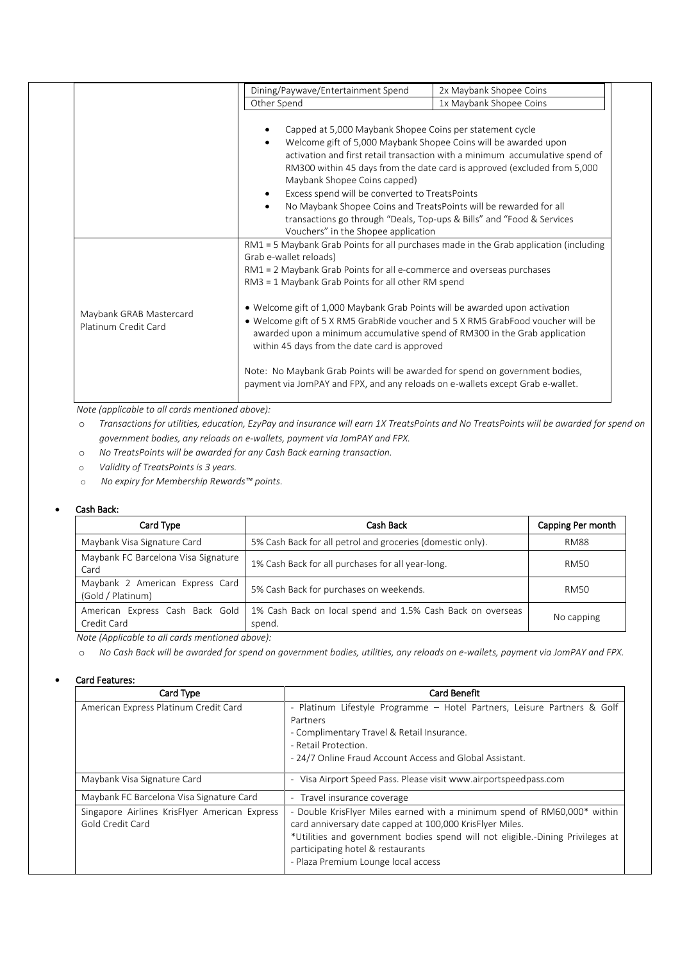|                                                 | Dining/Paywave/Entertainment Spend                                                                                                                                                                                                                                                                                                                                                                                                                                                                                                                                                                                                                                                                                | 2x Maybank Shopee Coins                                                                                                                                                                                                           |
|-------------------------------------------------|-------------------------------------------------------------------------------------------------------------------------------------------------------------------------------------------------------------------------------------------------------------------------------------------------------------------------------------------------------------------------------------------------------------------------------------------------------------------------------------------------------------------------------------------------------------------------------------------------------------------------------------------------------------------------------------------------------------------|-----------------------------------------------------------------------------------------------------------------------------------------------------------------------------------------------------------------------------------|
|                                                 | Other Spend                                                                                                                                                                                                                                                                                                                                                                                                                                                                                                                                                                                                                                                                                                       | 1x Maybank Shopee Coins                                                                                                                                                                                                           |
|                                                 | Capped at 5,000 Maybank Shopee Coins per statement cycle<br>Welcome gift of 5,000 Maybank Shopee Coins will be awarded upon<br>Maybank Shopee Coins capped)<br>Excess spend will be converted to TreatsPoints<br>No Maybank Shopee Coins and TreatsPoints will be rewarded for all<br>Vouchers" in the Shopee application                                                                                                                                                                                                                                                                                                                                                                                         | activation and first retail transaction with a minimum accumulative spend of<br>RM300 within 45 days from the date card is approved (excluded from 5,000<br>transactions go through "Deals, Top-ups & Bills" and "Food & Services |
| Maybank GRAB Mastercard<br>Platinum Credit Card | RM1 = 5 Maybank Grab Points for all purchases made in the Grab application (including<br>Grab e-wallet reloads)<br>RM1 = 2 Maybank Grab Points for all e-commerce and overseas purchases<br>RM3 = 1 Maybank Grab Points for all other RM spend<br>• Welcome gift of 1,000 Maybank Grab Points will be awarded upon activation<br>• Welcome gift of 5 X RM5 GrabRide voucher and 5 X RM5 GrabFood voucher will be<br>awarded upon a minimum accumulative spend of RM300 in the Grab application<br>within 45 days from the date card is approved<br>Note: No Maybank Grab Points will be awarded for spend on government bodies,<br>payment via JomPAY and FPX, and any reloads on e-wallets except Grab e-wallet. |                                                                                                                                                                                                                                   |

 *Note (applicable to all cards mentioned above):* 

o *Transactions for utilities, education, EzyPay and insurance will earn 1X TreatsPoints and No TreatsPoints will be awarded for spend on government bodies, any reloads on e-wallets, payment via JomPAY and FPX.*

- o *No TreatsPoints will be awarded for any Cash Back earning transaction.*
- o *Validity of TreatsPoints is 3 years.*
- o *No expiry for Membership Rewards™ points.*

#### Cash Back:

| Card Type                                            | Cash Back                                                            | Capping Per month |  |
|------------------------------------------------------|----------------------------------------------------------------------|-------------------|--|
| Maybank Visa Signature Card                          | 5% Cash Back for all petrol and groceries (domestic only).           | <b>RM88</b>       |  |
| Maybank FC Barcelona Visa Signature<br>Card          | 1% Cash Back for all purchases for all year-long.                    | <b>RM50</b>       |  |
| Maybank 2 American Express Card<br>(Gold / Platinum) | 5% Cash Back for purchases on weekends.                              | RM50              |  |
| American Express Cash Back Gold<br>Credit Card       | 1% Cash Back on local spend and 1.5% Cash Back on overseas<br>spend. | No capping        |  |

*Note (Applicable to all cards mentioned above):*

o *No Cash Back will be awarded for spend on government bodies, utilities, any reloads on e-wallets, payment via JomPAY and FPX.*

#### Card Features:

| Card Type                                                         | <b>Card Benefit</b>                                                                                                                                                                                                                                                                                |
|-------------------------------------------------------------------|----------------------------------------------------------------------------------------------------------------------------------------------------------------------------------------------------------------------------------------------------------------------------------------------------|
| American Express Platinum Credit Card                             | - Platinum Lifestyle Programme - Hotel Partners, Leisure Partners & Golf                                                                                                                                                                                                                           |
|                                                                   | Partners                                                                                                                                                                                                                                                                                           |
|                                                                   | - Complimentary Travel & Retail Insurance.                                                                                                                                                                                                                                                         |
|                                                                   | - Retail Protection.                                                                                                                                                                                                                                                                               |
|                                                                   | - 24/7 Online Fraud Account Access and Global Assistant.                                                                                                                                                                                                                                           |
| Maybank Visa Signature Card                                       | - Visa Airport Speed Pass. Please visit www.airportspeedpass.com                                                                                                                                                                                                                                   |
| Maybank FC Barcelona Visa Signature Card                          | - Travel insurance coverage                                                                                                                                                                                                                                                                        |
| Singapore Airlines KrisFlyer American Express<br>Gold Credit Card | - Double KrisFlyer Miles earned with a minimum spend of RM60,000* within<br>card anniversary date capped at 100,000 KrisFlyer Miles.<br>*Utilities and government bodies spend will not eligible.-Dining Privileges at<br>participating hotel & restaurants<br>- Plaza Premium Lounge local access |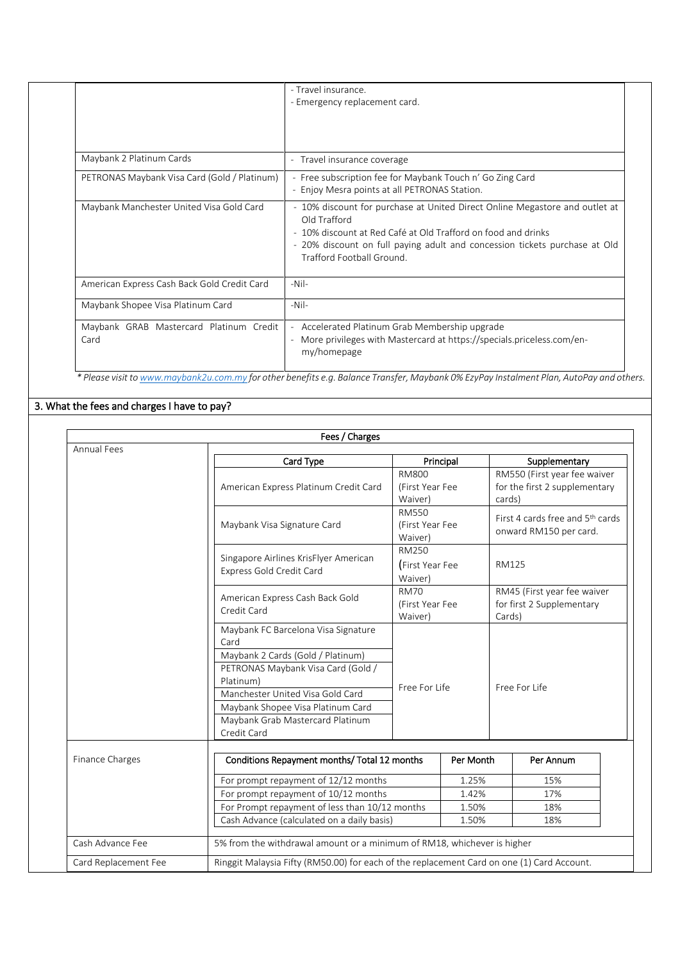| - Travel insurance.<br>- Emergency replacement card.                                                                                                                                                                                                                    |
|-------------------------------------------------------------------------------------------------------------------------------------------------------------------------------------------------------------------------------------------------------------------------|
|                                                                                                                                                                                                                                                                         |
| - Travel insurance coverage                                                                                                                                                                                                                                             |
| - Free subscription fee for Maybank Touch n' Go Zing Card<br>- Enjoy Mesra points at all PETRONAS Station.                                                                                                                                                              |
| - 10% discount for purchase at United Direct Online Megastore and outlet at<br>Old Trafford<br>- 10% discount at Red Café at Old Trafford on food and drinks<br>- 20% discount on full paying adult and concession tickets purchase at Old<br>Trafford Football Ground. |
| $-Nil-$                                                                                                                                                                                                                                                                 |
| $-Nil-$                                                                                                                                                                                                                                                                 |
| - Accelerated Platinum Grab Membership upgrade<br>- More privileges with Mastercard at https://specials.priceless.com/en-<br>my/homepage                                                                                                                                |
|                                                                                                                                                                                                                                                                         |

 *\* Please visit t[o www.maybank2u.com.my](http://www.maybank2u.com.my/) for other benefits e.g. Balance Transfer, Maybank 0% EzyPay Instalment Plan, AutoPay and others.*

# 3. What the fees and charges I have to pay?

|                      | Fees / Charges                                                                                                                                                                                                                                                  |                                            |                |                                                                         |  |
|----------------------|-----------------------------------------------------------------------------------------------------------------------------------------------------------------------------------------------------------------------------------------------------------------|--------------------------------------------|----------------|-------------------------------------------------------------------------|--|
| <b>Annual Fees</b>   | Card Type                                                                                                                                                                                                                                                       |                                            | Principal      | Supplementary                                                           |  |
|                      | American Express Platinum Credit Card                                                                                                                                                                                                                           | <b>RM800</b><br>(First Year Fee<br>Waiver) |                | RM550 (First year fee waiver<br>for the first 2 supplementary<br>cards) |  |
|                      | Maybank Visa Signature Card                                                                                                                                                                                                                                     | <b>RM550</b><br>(First Year Fee<br>Waiver) |                | First 4 cards free and 5 <sup>th</sup> cards<br>onward RM150 per card.  |  |
|                      | Singapore Airlines KrisFlyer American<br>Express Gold Credit Card                                                                                                                                                                                               | RM250<br>(First Year Fee<br>Waiver)        |                | RM125                                                                   |  |
|                      | American Express Cash Back Gold<br>Credit Card                                                                                                                                                                                                                  | <b>RM70</b><br>(First Year Fee<br>Waiver)  |                | RM45 (First year fee waiver<br>for first 2 Supplementary<br>Cards)      |  |
|                      | Maybank FC Barcelona Visa Signature<br>Card<br>Maybank 2 Cards (Gold / Platinum)<br>PETRONAS Maybank Visa Card (Gold /<br>Platinum)<br>Manchester United Visa Gold Card<br>Maybank Shopee Visa Platinum Card<br>Maybank Grab Mastercard Platinum<br>Credit Card | Free For Life<br>Free For Life             |                |                                                                         |  |
| Finance Charges      | Conditions Repayment months/ Total 12 months                                                                                                                                                                                                                    |                                            | Per Month      | Per Annum                                                               |  |
|                      | For prompt repayment of 12/12 months                                                                                                                                                                                                                            |                                            | 1.25%          | 15%                                                                     |  |
|                      | For prompt repayment of 10/12 months                                                                                                                                                                                                                            |                                            | 1.42%          | 17%                                                                     |  |
|                      | For Prompt repayment of less than 10/12 months<br>Cash Advance (calculated on a daily basis)                                                                                                                                                                    |                                            | 1.50%<br>1.50% | 18%<br>18%                                                              |  |
| Cash Advance Fee     | 5% from the withdrawal amount or a minimum of RM18, whichever is higher                                                                                                                                                                                         |                                            |                |                                                                         |  |
| Card Replacement Fee | Ringgit Malaysia Fifty (RM50.00) for each of the replacement Card on one (1) Card Account.                                                                                                                                                                      |                                            |                |                                                                         |  |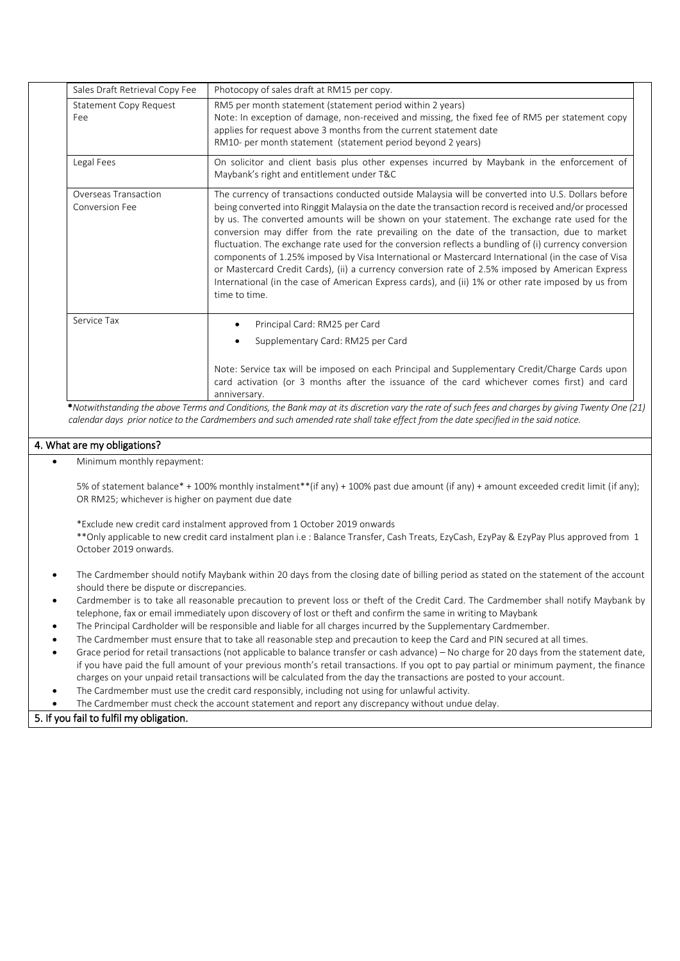| Sales Draft Retrieval Copy Fee         | Photocopy of sales draft at RM15 per copy.                                                                                                                                                                                                                                                                                                                                                                                                                                                                                                                                                                                                                                                                                                                                                                                                             |
|----------------------------------------|--------------------------------------------------------------------------------------------------------------------------------------------------------------------------------------------------------------------------------------------------------------------------------------------------------------------------------------------------------------------------------------------------------------------------------------------------------------------------------------------------------------------------------------------------------------------------------------------------------------------------------------------------------------------------------------------------------------------------------------------------------------------------------------------------------------------------------------------------------|
| Statement Copy Request<br>Fee          | RM5 per month statement (statement period within 2 years)<br>Note: In exception of damage, non-received and missing, the fixed fee of RM5 per statement copy<br>applies for request above 3 months from the current statement date<br>RM10- per month statement (statement period beyond 2 years)                                                                                                                                                                                                                                                                                                                                                                                                                                                                                                                                                      |
| Legal Fees                             | On solicitor and client basis plus other expenses incurred by Maybank in the enforcement of<br>Maybank's right and entitlement under T&C                                                                                                                                                                                                                                                                                                                                                                                                                                                                                                                                                                                                                                                                                                               |
| Overseas Transaction<br>Conversion Fee | The currency of transactions conducted outside Malaysia will be converted into U.S. Dollars before<br>being converted into Ringgit Malaysia on the date the transaction record is received and/or processed<br>by us. The converted amounts will be shown on your statement. The exchange rate used for the<br>conversion may differ from the rate prevailing on the date of the transaction, due to market<br>fluctuation. The exchange rate used for the conversion reflects a bundling of (i) currency conversion<br>components of 1.25% imposed by Visa International or Mastercard International (in the case of Visa<br>or Mastercard Credit Cards), (ii) a currency conversion rate of 2.5% imposed by American Express<br>International (in the case of American Express cards), and (ii) 1% or other rate imposed by us from<br>time to time. |
| Service Tax                            | Principal Card: RM25 per Card<br>$\bullet$<br>Supplementary Card: RM25 per Card<br>$\bullet$                                                                                                                                                                                                                                                                                                                                                                                                                                                                                                                                                                                                                                                                                                                                                           |
|                                        | Note: Service tax will be imposed on each Principal and Supplementary Credit/Charge Cards upon<br>card activation (or 3 months after the issuance of the card whichever comes first) and card<br>anniversary.                                                                                                                                                                                                                                                                                                                                                                                                                                                                                                                                                                                                                                          |

 \**Notwithstanding the above Terms and Conditions, the Bank may at its discretion vary the rate of such fees and charges by giving Twenty One (21) calendar days prior notice to the Cardmembers and such amended rate shall take effect from the date specified in the said notice.*

## 4. What are my obligations?

Minimum monthly repayment:

5% of statement balance\* + 100% monthly instalment\*\*(if any) + 100% past due amount (if any) + amount exceeded credit limit (if any); OR RM25; whichever is higher on payment due date

\*Exclude new credit card instalment approved from 1 October 2019 onwards \*\*Only applicable to new credit card instalment plan i.e : Balance Transfer, Cash Treats, EzyCash, EzyPay & EzyPay Plus approved from 1

October 2019 onwards.

- The Cardmember should notify Maybank within 20 days from the closing date of billing period as stated on the statement of the account should there be dispute or discrepancies.
- Cardmember is to take all reasonable precaution to prevent loss or theft of the Credit Card. The Cardmember shall notify Maybank by telephone, fax or email immediately upon discovery of lost or theft and confirm the same in writing to Maybank
- The Principal Cardholder will be responsible and liable for all charges incurred by the Supplementary Cardmember.
- The Cardmember must ensure that to take all reasonable step and precaution to keep the Card and PIN secured at all times.
- Grace period for retail transactions (not applicable to balance transfer or cash advance) No charge for 20 days from the statement date, if you have paid the full amount of your previous month's retail transactions. If you opt to pay partial or minimum payment, the finance charges on your unpaid retail transactions will be calculated from the day the transactions are posted to your account.
- The Cardmember must use the credit card responsibly, including not using for unlawful activity.
- The Cardmember must check the account statement and report any discrepancy without undue delay.

## 5. If you fail to fulfil my obligation.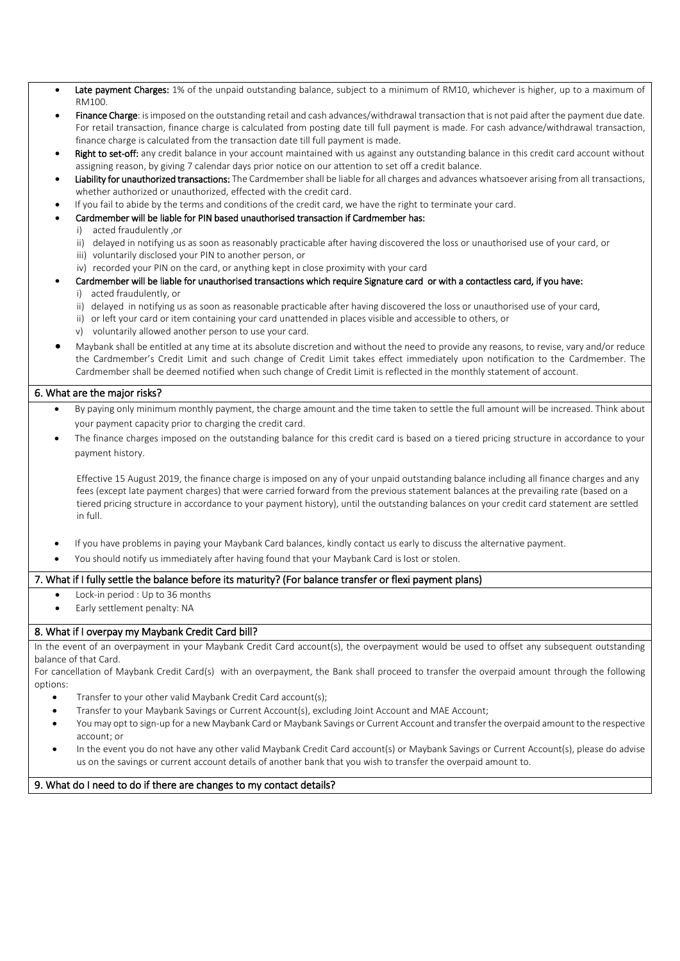- Late payment Charges: 1% of the unpaid outstanding balance, subject to a minimum of RM10, whichever is higher, up to a maximum of RM100.
- Finance Charge: is imposed on the outstanding retail and cash advances/withdrawal transaction that is not paid after the payment due date. For retail transaction, finance charge is calculated from posting date till full payment is made. For cash advance/withdrawal transaction, finance charge is calculated from the transaction date till full payment is made.
- Right to set-off: any credit balance in your account maintained with us against any outstanding balance in this credit card account without assigning reason, by giving 7 calendar days prior notice on our attention to set off a credit balance.
- Liability for unauthorized transactions: The Cardmember shall be liable for all charges and advances whatsoever arising from all transactions, whether authorized or unauthorized, effected with the credit card.
- If you fail to abide by the terms and conditions of the credit card, we have the right to terminate your card.
- Cardmember will be liable for PIN based unauthorised transaction if Cardmember has:
	- i) acted fraudulently ,or
		- ii) delayed in notifying us as soon as reasonably practicable after having discovered the loss or unauthorised use of your card, or
		- iii) voluntarily disclosed your PIN to another person, or
		- iv) recorded your PIN on the card, or anything kept in close proximity with your card
- Cardmember will be liable for unauthorised transactions which require Signature card or with a contactless card, if you have:
	- i) acted fraudulently, or
	- ii) delayed in notifying us as soon as reasonable practicable after having discovered the loss or unauthorised use of your card,
	- ii) or left your card or item containing your card unattended in places visible and accessible to others, or
	- v) voluntarily allowed another person to use your card.
- Maybank shall be entitled at any time at its absolute discretion and without the need to provide any reasons, to revise, vary and/or reduce the Cardmember's Credit Limit and such change of Credit Limit takes effect immediately upon notification to the Cardmember. The Cardmember shall be deemed notified when such change of Credit Limit is reflected in the monthly statement of account.

#### 6. What are the major risks?

- By paying only minimum monthly payment, the charge amount and the time taken to settle the full amount will be increased. Think about your payment capacity prior to charging the credit card.
- The finance charges imposed on the outstanding balance for this credit card is based on a tiered pricing structure in accordance to your payment history.

Effective 15 August 2019, the finance charge is imposed on any of your unpaid outstanding balance including all finance charges and any fees (except late payment charges) that were carried forward from the previous statement balances at the prevailing rate (based on a tiered pricing structure in accordance to your payment history), until the outstanding balances on your credit card statement are settled in full.

- If you have problems in paying your Maybank Card balances, kindly contact us early to discuss the alternative payment.
- You should notify us immediately after having found that your Maybank Card is lost or stolen.

#### 7. What if I fully settle the balance before its maturity? (For balance transfer or flexi payment plans)

- Lock-in period : Up to 36 months
- Early settlement penalty: NA

#### 8. What if I overpay my Maybank Credit Card bill?

In the event of an overpayment in your Maybank Credit Card account(s), the overpayment would be used to offset any subsequent outstanding balance of that Card.

For cancellation of Maybank Credit Card(s) with an overpayment, the Bank shall proceed to transfer the overpaid amount through the following options:

- Transfer to your other valid Maybank Credit Card account(s);
- Transfer to your Maybank Savings or Current Account(s), excluding Joint Account and MAE Account;
- You may opt to sign-up for a new Maybank Card or Maybank Savings or Current Account and transfer the overpaid amount to the respective account; or
- In the event you do not have any other valid Maybank Credit Card account(s) or Maybank Savings or Current Account(s), please do advise us on the savings or current account details of another bank that you wish to transfer the overpaid amount to.

9. What do I need to do if there are changes to my contact details?